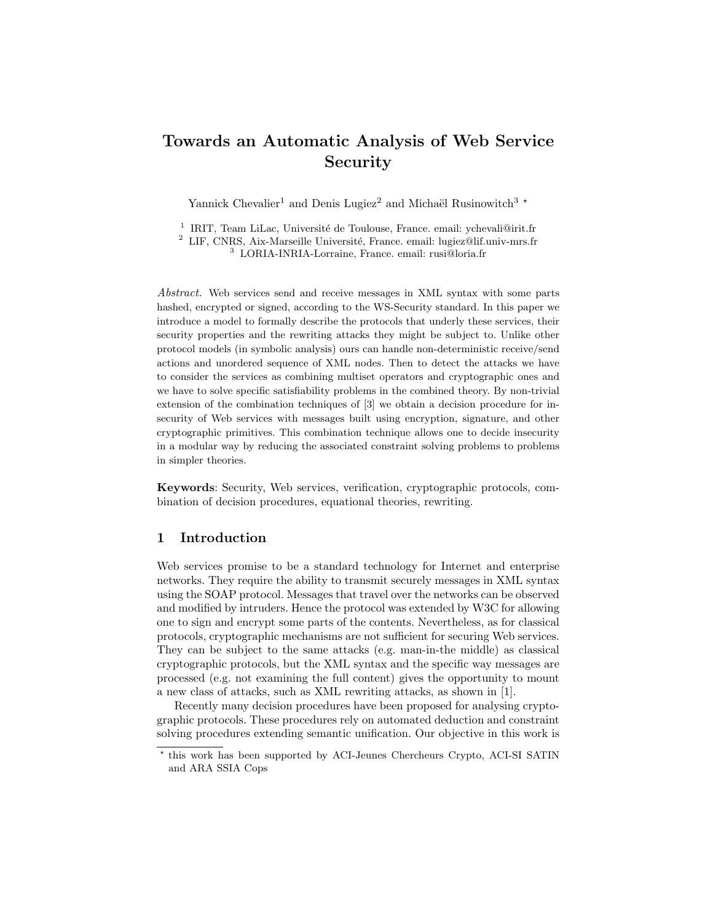# Towards an Automatic Analysis of Web Service Security

Yannick Chevalier<sup>1</sup> and Denis Lugiez<sup>2</sup> and Michaël Rusinowitch<sup>3</sup>  $\star$ 

<sup>1</sup> IRIT, Team LiLac, Université de Toulouse, France. email: ychevali@irit.fr

 $^{2}$  LIF, CNRS, Aix-Marseille Université, France. email: lugiez@lif.univ-mrs.fr <sup>3</sup> LORIA-INRIA-Lorraine, France. email: rusi@loria.fr

Abstract. Web services send and receive messages in XML syntax with some parts hashed, encrypted or signed, according to the WS-Security standard. In this paper we introduce a model to formally describe the protocols that underly these services, their security properties and the rewriting attacks they might be subject to. Unlike other protocol models (in symbolic analysis) ours can handle non-deterministic receive/send actions and unordered sequence of XML nodes. Then to detect the attacks we have to consider the services as combining multiset operators and cryptographic ones and we have to solve specific satisfiability problems in the combined theory. By non-trivial extension of the combination techniques of [3] we obtain a decision procedure for insecurity of Web services with messages built using encryption, signature, and other cryptographic primitives. This combination technique allows one to decide insecurity in a modular way by reducing the associated constraint solving problems to problems in simpler theories.

Keywords: Security, Web services, verification, cryptographic protocols, combination of decision procedures, equational theories, rewriting.

# 1 Introduction

Web services promise to be a standard technology for Internet and enterprise networks. They require the ability to transmit securely messages in XML syntax using the SOAP protocol. Messages that travel over the networks can be observed and modified by intruders. Hence the protocol was extended by W3C for allowing one to sign and encrypt some parts of the contents. Nevertheless, as for classical protocols, cryptographic mechanisms are not sufficient for securing Web services. They can be subject to the same attacks (e.g. man-in-the middle) as classical cryptographic protocols, but the XML syntax and the specific way messages are processed (e.g. not examining the full content) gives the opportunity to mount a new class of attacks, such as XML rewriting attacks, as shown in [1].

Recently many decision procedures have been proposed for analysing cryptographic protocols. These procedures rely on automated deduction and constraint solving procedures extending semantic unification. Our objective in this work is

<sup>?</sup> this work has been supported by ACI-Jeunes Chercheurs Crypto, ACI-SI SATIN and ARA SSIA Cops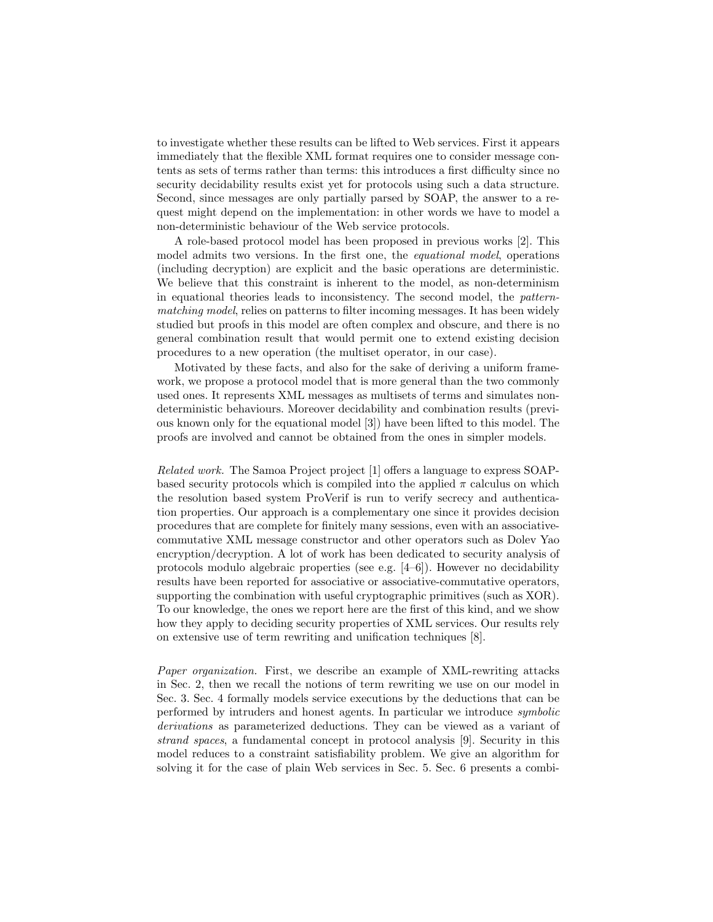to investigate whether these results can be lifted to Web services. First it appears immediately that the flexible XML format requires one to consider message contents as sets of terms rather than terms: this introduces a first difficulty since no security decidability results exist yet for protocols using such a data structure. Second, since messages are only partially parsed by SOAP, the answer to a request might depend on the implementation: in other words we have to model a non-deterministic behaviour of the Web service protocols.

A role-based protocol model has been proposed in previous works [2]. This model admits two versions. In the first one, the equational model, operations (including decryption) are explicit and the basic operations are deterministic. We believe that this constraint is inherent to the model, as non-determinism in equational theories leads to inconsistency. The second model, the patternmatching model, relies on patterns to filter incoming messages. It has been widely studied but proofs in this model are often complex and obscure, and there is no general combination result that would permit one to extend existing decision procedures to a new operation (the multiset operator, in our case).

Motivated by these facts, and also for the sake of deriving a uniform framework, we propose a protocol model that is more general than the two commonly used ones. It represents XML messages as multisets of terms and simulates nondeterministic behaviours. Moreover decidability and combination results (previous known only for the equational model [3]) have been lifted to this model. The proofs are involved and cannot be obtained from the ones in simpler models.

Related work. The Samoa Project project [1] offers a language to express SOAPbased security protocols which is compiled into the applied  $\pi$  calculus on which the resolution based system ProVerif is run to verify secrecy and authentication properties. Our approach is a complementary one since it provides decision procedures that are complete for finitely many sessions, even with an associativecommutative XML message constructor and other operators such as Dolev Yao encryption/decryption. A lot of work has been dedicated to security analysis of protocols modulo algebraic properties (see e.g. [4–6]). However no decidability results have been reported for associative or associative-commutative operators, supporting the combination with useful cryptographic primitives (such as XOR). To our knowledge, the ones we report here are the first of this kind, and we show how they apply to deciding security properties of XML services. Our results rely on extensive use of term rewriting and unification techniques [8].

Paper organization. First, we describe an example of XML-rewriting attacks in Sec. 2, then we recall the notions of term rewriting we use on our model in Sec. 3. Sec. 4 formally models service executions by the deductions that can be performed by intruders and honest agents. In particular we introduce symbolic derivations as parameterized deductions. They can be viewed as a variant of strand spaces, a fundamental concept in protocol analysis [9]. Security in this model reduces to a constraint satisfiability problem. We give an algorithm for solving it for the case of plain Web services in Sec. 5. Sec. 6 presents a combi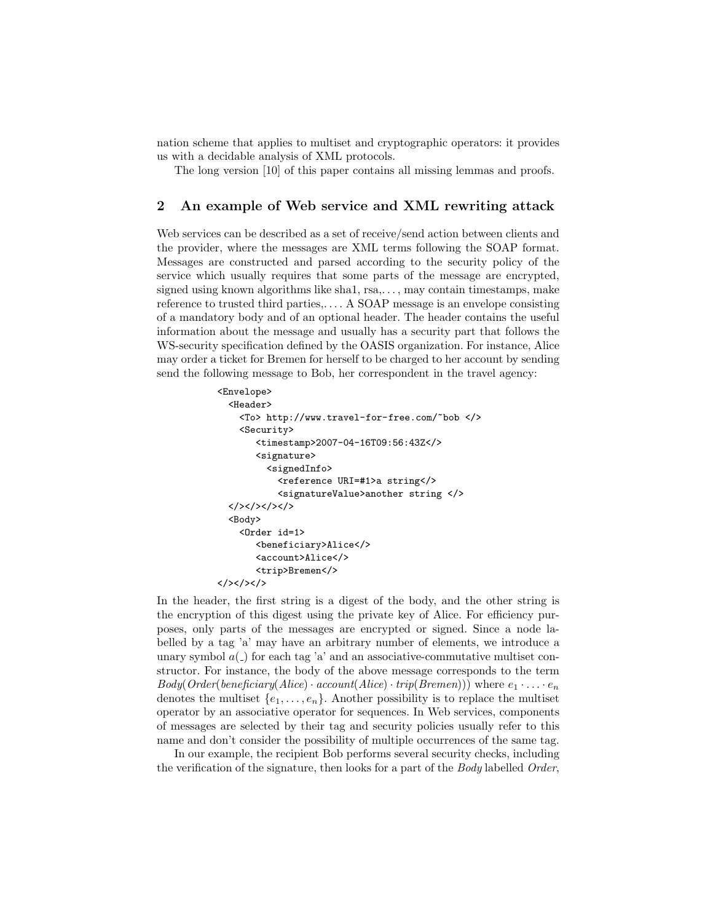nation scheme that applies to multiset and cryptographic operators: it provides us with a decidable analysis of XML protocols.

The long version [10] of this paper contains all missing lemmas and proofs.

## 2 An example of Web service and XML rewriting attack

Web services can be described as a set of receive/send action between clients and the provider, where the messages are XML terms following the SOAP format. Messages are constructed and parsed according to the security policy of the service which usually requires that some parts of the message are encrypted, signed using known algorithms like  $sha1, rsa, \ldots$ , may contain timestamps, make reference to trusted third parties,. . . . A SOAP message is an envelope consisting of a mandatory body and of an optional header. The header contains the useful information about the message and usually has a security part that follows the WS-security specification defined by the OASIS organization. For instance, Alice may order a ticket for Bremen for herself to be charged to her account by sending send the following message to Bob, her correspondent in the travel agency:

```
<Envelope>
  <Header>
    <To> http://www.travel-for-free.com/~bob </>
    <Security>
        <timestamp>2007-04-16T09:56:43Z</>
        <signature>
          <signedInfo>
            <reference URI=#1>a string</>
            <signatureValue>another string </>
  </></></></></>
  <Body>
    <Order id=1>
        <beneficiary>Alice</>
        <account>Alice</>
        <trip>Bremen</>
\langle/>\langle/>\langle/>\langle/>
```
In the header, the first string is a digest of the body, and the other string is the encryption of this digest using the private key of Alice. For efficiency purposes, only parts of the messages are encrypted or signed. Since a node labelled by a tag 'a' may have an arbitrary number of elements, we introduce a unary symbol  $a(.)$  for each tag 'a' and an associative-commutative multiset constructor. For instance, the body of the above message corresponds to the term  $Body(Order(beneficiency(Alice) \cdot account(Alice) \cdot trip(Bremen)))$  where  $e_1 \cdot ... \cdot e_n$ denotes the multiset  $\{e_1, \ldots, e_n\}$ . Another possibility is to replace the multiset operator by an associative operator for sequences. In Web services, components of messages are selected by their tag and security policies usually refer to this name and don't consider the possibility of multiple occurrences of the same tag.

In our example, the recipient Bob performs several security checks, including the verification of the signature, then looks for a part of the Body labelled Order,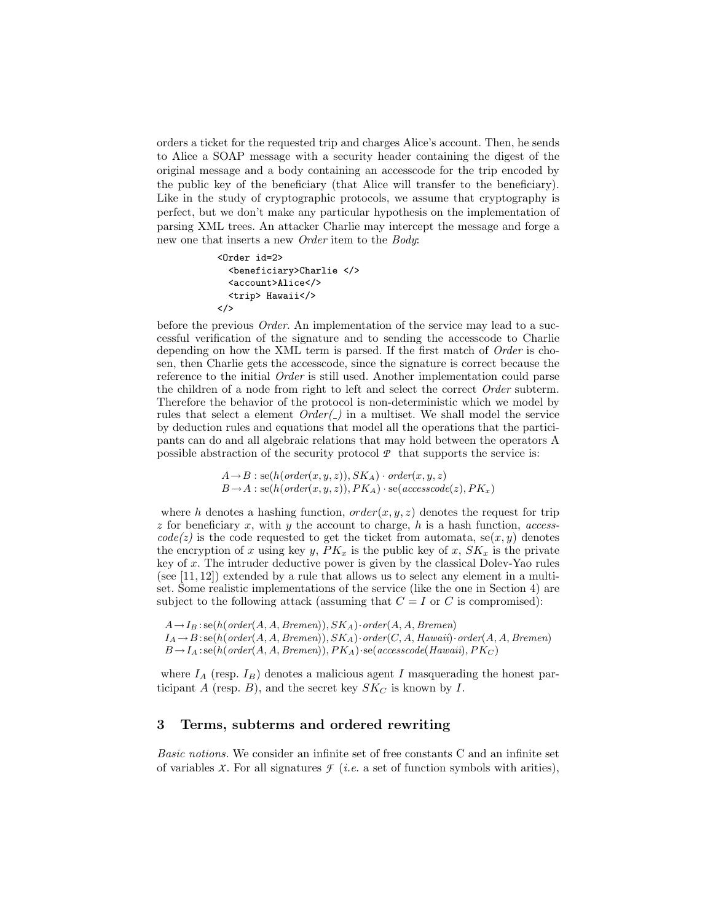orders a ticket for the requested trip and charges Alice's account. Then, he sends to Alice a SOAP message with a security header containing the digest of the original message and a body containing an accesscode for the trip encoded by the public key of the beneficiary (that Alice will transfer to the beneficiary). Like in the study of cryptographic protocols, we assume that cryptography is perfect, but we don't make any particular hypothesis on the implementation of parsing XML trees. An attacker Charlie may intercept the message and forge a new one that inserts a new *Order* item to the *Body*:

<Order id=2> <beneficiary>Charlie </> <account>Alice</> <trip> Hawaii</> </>

before the previous Order. An implementation of the service may lead to a successful verification of the signature and to sending the accesscode to Charlie depending on how the XML term is parsed. If the first match of Order is chosen, then Charlie gets the accesscode, since the signature is correct because the reference to the initial *Order* is still used. Another implementation could parse the children of a node from right to left and select the correct *Order* subterm. Therefore the behavior of the protocol is non-deterministic which we model by rules that select a element  $Order(\_)$  in a multiset. We shall model the service by deduction rules and equations that model all the operations that the participants can do and all algebraic relations that may hold between the operators A possible abstraction of the security protocol  $P$  that supports the service is:

> $A \rightarrow B$ : se(h(order(x, y, z)),  $SK_A$ ) · order(x, y, z)  $B\rightarrow A$ : se(h(order(x, y, z)),  $PK_A$ ) · se(accesscode(z),  $PK_x$ )

where h denotes a hashing function,  $order(x, y, z)$  denotes the request for trip  $z$  for beneficiary x, with y the account to charge, h is a hash function, access $code(z)$  is the code requested to get the ticket from automata,  $se(x, y)$  denotes the encryption of x using key y,  $PK_x$  is the public key of x,  $SK_x$  is the private key of x. The intruder deductive power is given by the classical Dolev-Yao rules (see  $[11, 12]$ ) extended by a rule that allows us to select any element in a multiset. Some realistic implementations of the service (like the one in Section 4) are subject to the following attack (assuming that  $C = I$  or C is compromised):

 $A \rightarrow I_B$ : se(h(order(A, A, Bremen)),  $SK_A$ ) $\cdot$ order(A, A, Bremen)  $I_A \rightarrow B$ : se(h(order(A, A, Bremen)),  $SK_A$ )·order(C, A, Hawaii)·order(A, A, Bremen)  $B \!\rightarrow\! I_A \!:\! \textrm{se}(h(\textrm{order}(A, A, Bremen)), PK_A) \!:\! \textrm{se}(\textrm{accesscode}(Hawai), PK_C)$ 

where  $I_A$  (resp.  $I_B$ ) denotes a malicious agent I masquerading the honest participant A (resp. B), and the secret key  $SK_C$  is known by I.

# 3 Terms, subterms and ordered rewriting

Basic notions. We consider an infinite set of free constants C and an infinite set of variables *X*. For all signatures  $\mathcal F$  (*i.e.* a set of function symbols with arities),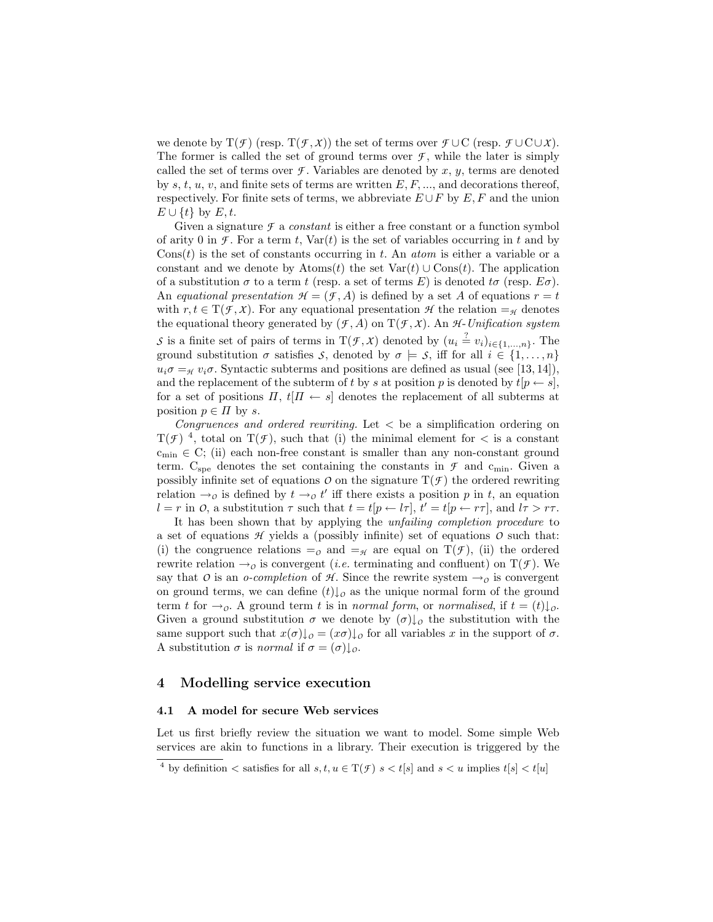we denote by  $T(f)$  (resp.  $T(f, \chi)$ ) the set of terms over  $f \cup C$  (resp.  $f \cup C \cup \chi$ ). The former is called the set of ground terms over  $\mathcal{F}$ , while the later is simply called the set of terms over  $\mathcal F$ . Variables are denoted by  $x, y$ , terms are denoted by  $s, t, u, v$ , and finite sets of terms are written  $E, F, \dots$ , and decorations thereof, respectively. For finite sets of terms, we abbreviate  $E \cup F$  by  $E, F$  and the union  $E \cup \{t\}$  by  $E, t$ .

Given a signature  $\mathcal F$  a *constant* is either a free constant or a function symbol of arity 0 in  $\mathcal F$ . For a term t, Var $(t)$  is the set of variables occurring in t and by  $\text{Cons}(t)$  is the set of constants occurring in t. An *atom* is either a variable or a constant and we denote by Atoms $(t)$  the set  $Var(t) \cup Cons(t)$ . The application of a substitution  $\sigma$  to a term t (resp. a set of terms E) is denoted to (resp.  $E\sigma$ ). An *equational presentation*  $\mathcal{H} = (\mathcal{F}, A)$  is defined by a set A of equations  $r = t$ with  $r, t \in T(\mathcal{F}, \mathcal{X})$ . For any equational presentation  $\mathcal{H}$  the relation  $=_\mathcal{H}$  denotes the equational theory generated by  $(f, A)$  on  $T(f, X)$ . An *H*-Unification system *S* is a finite set of pairs of terms in  $T(\mathcal{F}, \mathcal{X})$  denoted by  $(u_i \stackrel{?}{=} v_i)_{i \in \{1, ..., n\}}$ . The ground substitution  $\sigma$  satisfies  $\mathcal{S}$ , denoted by  $\sigma \models \mathcal{S}$ , iff for all  $i \in \{1, \ldots, n\}$  $u_i\sigma = \mathcal{H} v_i\sigma$ . Syntactic subterms and positions are defined as usual (see [13, 14]), and the replacement of the subterm of t by s at position p is denoted by  $t[p \leftarrow s]$ , for a set of positions  $\Pi$ ,  $t[\Pi \leftarrow s]$  denotes the replacement of all subterms at position  $p \in \Pi$  by s.

Congruences and ordered rewriting. Let < be a simplification ordering on  $T(f)$ <sup>4</sup>, total on  $T(f)$ , such that (i) the minimal element for  $\lt$  is a constant  $c_{\min} \in C$ ; (ii) each non-free constant is smaller than any non-constant ground term.  $C_{\text{spe}}$  denotes the set containing the constants in  $\mathcal{F}$  and  $c_{\text{min}}$ . Given a possibly infinite set of equations  $O$  on the signature  $T(f)$  the ordered rewriting relation  $\rightarrow$ <sup>0</sup> is defined by  $t \rightarrow o$  t' iff there exists a position p in t, an equation  $l = r$  in *O*, a substitution  $\tau$  such that  $t = t[p \leftarrow l\tau], t' = t[p \leftarrow r\tau]$ , and  $l\tau > r\tau$ .

It has been shown that by applying the unfailing completion procedure to a set of equations  $H$  yields a (possibly infinite) set of equations  $O$  such that: (i) the congruence relations  $=_{\mathcal{O}}$  and  $=_{\mathcal{H}}$  are equal on T(*f*), (ii) the ordered rewrite relation  $\rightarrow_{\mathcal{O}}$  is convergent (*i.e.* terminating and confluent) on T( $\mathcal{F}$ ). We say that *O* is an *o-completion* of *H*. Since the rewrite system  $\rightarrow$ <sub>*O*</sub> is convergent on ground terms, we can define  $(t)\downarrow$ <sub>o</sub> as the unique normal form of the ground term t for  $\rightarrow$ <sub>0</sub>. A ground term t is in normal form, or normalised, if  $t = (t) \downarrow$ <sub>0</sub>. Given a ground substitution  $\sigma$  we denote by  $(\sigma)\downarrow$ <sub>o</sub> the substitution with the same support such that  $x(\sigma)\downarrow_0 = (x\sigma)\downarrow_0$  for all variables x in the support of  $\sigma$ . A substitution  $\sigma$  is *normal* if  $\sigma = (\sigma) \downarrow \rho$ .

## 4 Modelling service execution

#### 4.1 A model for secure Web services

Let us first briefly review the situation we want to model. Some simple Web services are akin to functions in a library. Their execution is triggered by the

<sup>&</sup>lt;sup>4</sup> by definition  $\lt$  satisfies for all  $s, t, u \in T(f)$   $s \lt t[s]$  and  $s \lt u$  implies  $t[s] \lt t[u]$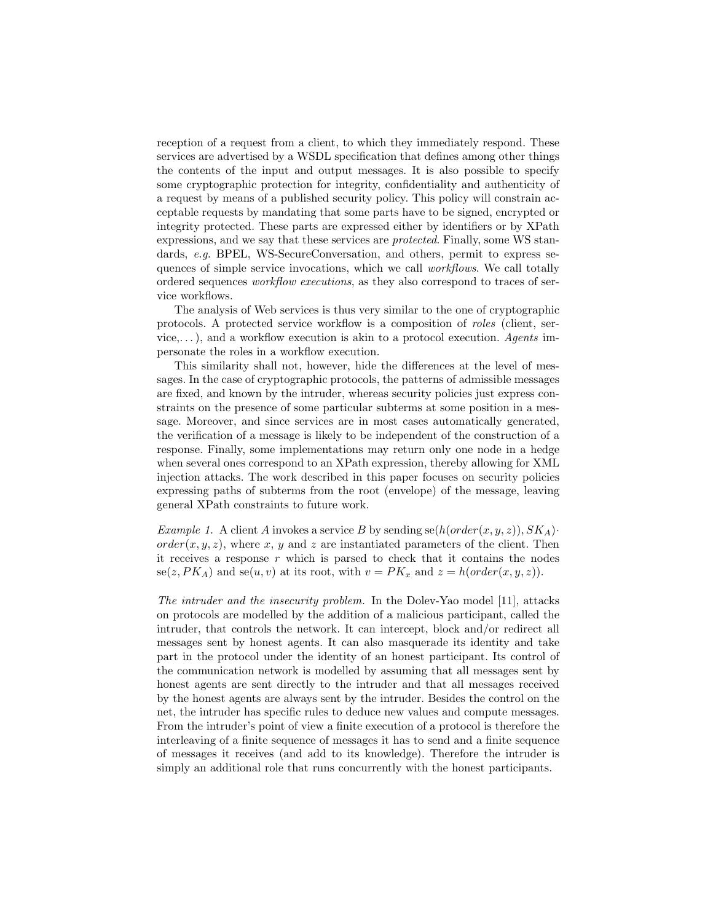reception of a request from a client, to which they immediately respond. These services are advertised by a WSDL specification that defines among other things the contents of the input and output messages. It is also possible to specify some cryptographic protection for integrity, confidentiality and authenticity of a request by means of a published security policy. This policy will constrain acceptable requests by mandating that some parts have to be signed, encrypted or integrity protected. These parts are expressed either by identifiers or by XPath expressions, and we say that these services are protected. Finally, some WS standards, e.g. BPEL, WS-SecureConversation, and others, permit to express sequences of simple service invocations, which we call workflows. We call totally ordered sequences workflow executions, as they also correspond to traces of service workflows.

The analysis of Web services is thus very similar to the one of cryptographic protocols. A protected service workflow is a composition of roles (client, service,...), and a workflow execution is akin to a protocol execution. Agents impersonate the roles in a workflow execution.

This similarity shall not, however, hide the differences at the level of messages. In the case of cryptographic protocols, the patterns of admissible messages are fixed, and known by the intruder, whereas security policies just express constraints on the presence of some particular subterms at some position in a message. Moreover, and since services are in most cases automatically generated, the verification of a message is likely to be independent of the construction of a response. Finally, some implementations may return only one node in a hedge when several ones correspond to an XPath expression, thereby allowing for XML injection attacks. The work described in this paper focuses on security policies expressing paths of subterms from the root (envelope) of the message, leaving general XPath constraints to future work.

Example 1. A client A invokes a service B by sending  $se(h(order(x, y, z)), SK_A)$ .  $order(x, y, z)$ , where x, y and z are instantiated parameters of the client. Then it receives a response  $r$  which is parsed to check that it contains the nodes  $se(z, PK_A)$  and  $se(u, v)$  at its root, with  $v = PK_x$  and  $z = h(order(x, y, z))$ .

The intruder and the insecurity problem. In the Dolev-Yao model [11], attacks on protocols are modelled by the addition of a malicious participant, called the intruder, that controls the network. It can intercept, block and/or redirect all messages sent by honest agents. It can also masquerade its identity and take part in the protocol under the identity of an honest participant. Its control of the communication network is modelled by assuming that all messages sent by honest agents are sent directly to the intruder and that all messages received by the honest agents are always sent by the intruder. Besides the control on the net, the intruder has specific rules to deduce new values and compute messages. From the intruder's point of view a finite execution of a protocol is therefore the interleaving of a finite sequence of messages it has to send and a finite sequence of messages it receives (and add to its knowledge). Therefore the intruder is simply an additional role that runs concurrently with the honest participants.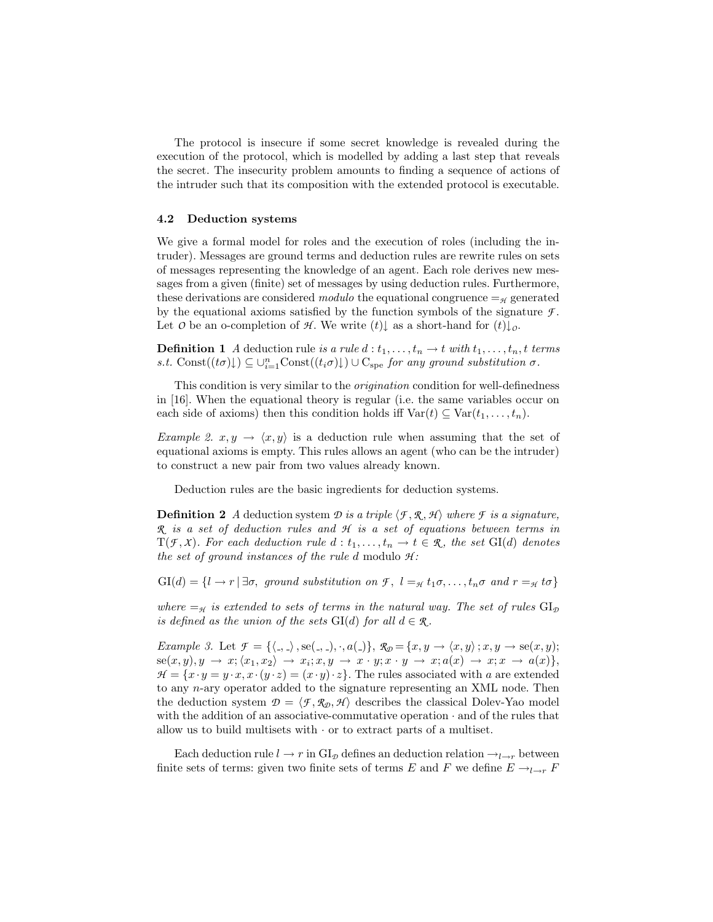The protocol is insecure if some secret knowledge is revealed during the execution of the protocol, which is modelled by adding a last step that reveals the secret. The insecurity problem amounts to finding a sequence of actions of the intruder such that its composition with the extended protocol is executable.

## 4.2 Deduction systems

We give a formal model for roles and the execution of roles (including the intruder). Messages are ground terms and deduction rules are rewrite rules on sets of messages representing the knowledge of an agent. Each role derives new messages from a given (finite) set of messages by using deduction rules. Furthermore, these derivations are considered modulo the equational congruence  $=$   $\#$  generated by the equational axioms satisfied by the function symbols of the signature  $\mathcal{F}$ . Let *O* be an o-completion of *H*. We write  $(t)$  as a short-hand for  $(t) \downarrow o$ .

**Definition 1** A deduction rule is a rule  $d : t_1, \ldots, t_n \to t$  with  $t_1, \ldots, t_n$ , t terms s.t.  $\text{Const}((t\sigma)\downarrow) \subseteq \cup_{i=1}^n \text{Const}((t_i\sigma)\downarrow) \cup \text{C}_{\text{spe}}$  for any ground substitution  $\sigma$ .

This condition is very similar to the origination condition for well-definedness in [16]. When the equational theory is regular (i.e. the same variables occur on each side of axioms) then this condition holds iff  $\text{Var}(t) \subseteq \text{Var}(t_1, \ldots, t_n)$ .

Example 2.  $x, y \rightarrow \langle x, y \rangle$  is a deduction rule when assuming that the set of equational axioms is empty. This rules allows an agent (who can be the intruder) to construct a new pair from two values already known.

Deduction rules are the basic ingredients for deduction systems.

**Definition 2** A deduction system D is a triple  $\langle f, \mathcal{R}, \mathcal{H} \rangle$  where *F* is a signature, *R* is a set of deduction rules and *H* is a set of equations between terms in  $T(\mathcal{F}, \mathcal{X})$ . For each deduction rule  $d: t_1, \ldots, t_n \to t \in \mathcal{R}$ , the set  $GI(d)$  denotes the set of ground instances of the rule d modulo *H* :

 $GI(d) = \{l \rightarrow r \mid \exists \sigma, \text{ ground substitution on } \mathcal{F}, \ l =_{\mathcal{H}} t_1 \sigma, \ldots, t_n \sigma \text{ and } r =_{\mathcal{H}} t \sigma \}$ 

where  $=$ <sub>H</sub> is extended to sets of terms in the natural way. The set of rules  $\text{GI}_\mathcal{D}$ is defined as the union of the sets  $GI(d)$  for all  $d \in \mathcal{R}$ .

Example 3. Let  $\mathcal{F} = {\langle \langle -, \rangle, \text{se}(\langle -, \rangle, \cdot, a(\langle \rangle)}, \mathcal{R}_{\mathcal{D}} = {\langle x, y \rangle \langle x, y \rangle}; x, y \rightarrow \text{se}(x, y);$  $\mathrm{se}(x,y), y \ \rightarrow \ x; \langle x_1, x_2 \rangle \ \rightarrow \ x_i; x, y \ \rightarrow \ x \cdot y; x \cdot y \ \rightarrow \ x; a(x) \ \rightarrow \ x; x \ \rightarrow \ a(x) \},$  $\mathcal{H} = \{x \cdot y = y \cdot x, x \cdot (y \cdot z) = (x \cdot y) \cdot z\}.$  The rules associated with a are extended to any n-ary operator added to the signature representing an XML node. Then the deduction system  $\mathcal{D} = \langle f, \mathcal{R}_p, \mathcal{H} \rangle$  describes the classical Dolev-Yao model with the addition of an associative-commutative operation  $\cdot$  and of the rules that allow us to build multisets with  $\cdot$  or to extract parts of a multiset.

Each deduction rule  $l \to r$  in  $\text{GL}_{p}$  defines an deduction relation  $\to_{l \to r}$  between finite sets of terms: given two finite sets of terms E and F we define  $E \rightarrow_{l \rightarrow r} F$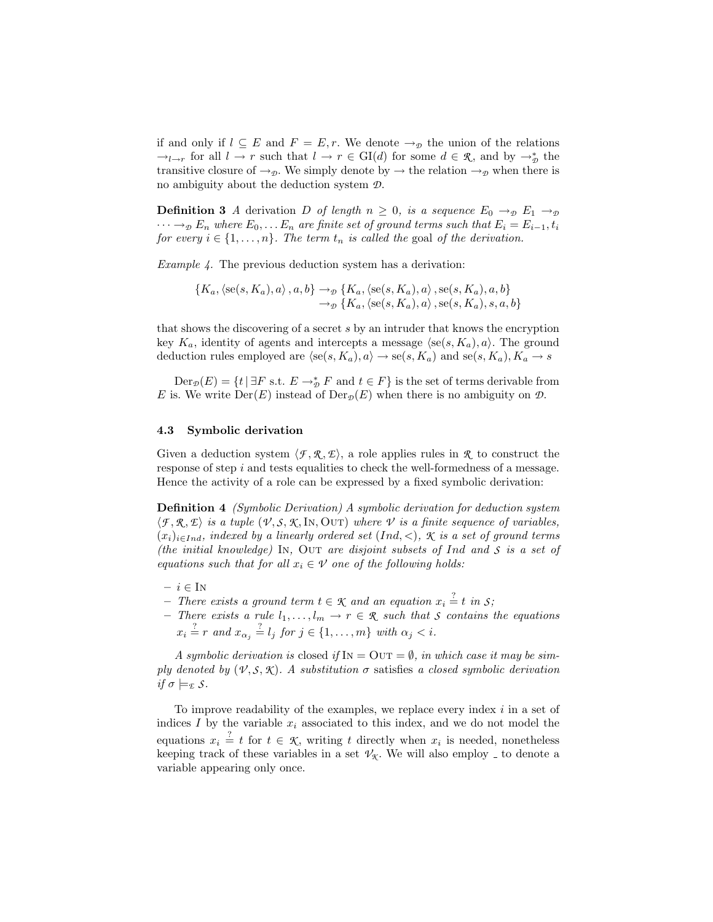if and only if  $l \subseteq E$  and  $F = E, r$ . We denote  $\rightarrow_{\mathcal{D}}$  the union of the relations  $\rightarrow_{l\rightarrow r}$  for all  $l\rightarrow r$  such that  $l\rightarrow r \in \text{GI}(d)$  for some  $d \in \mathcal{R}$ , and by  $\rightarrow_{\mathcal{D}}^*$  the transitive closure of  $\rightarrow_{\mathcal{D}}$ . We simply denote by  $\rightarrow$  the relation  $\rightarrow_{\mathcal{D}}$  when there is no ambiguity about the deduction system *D*.

**Definition 3** A derivation D of length  $n \geq 0$ , is a sequence  $E_0 \rightarrow_{\mathcal{D}} E_1 \rightarrow_{\mathcal{D}} E_2$  $\cdots \rightarrow_{\mathcal{D}} E_n$  where  $E_0, \ldots E_n$  are finite set of ground terms such that  $E_i = E_{i-1}, t_i$ for every  $i \in \{1, \ldots, n\}$ . The term  $t_n$  is called the goal of the derivation.

Example 4. The previous deduction system has a derivation:

$$
\{K_a, \langle se(s, K_a), a \rangle, a, b\} \to_{\mathcal{D}} \{K_a, \langle se(s, K_a), a \rangle, se(s, K_a), a, b\}
$$
  

$$
\to_{\mathcal{D}} \{K_a, \langle se(s, K_a), a \rangle, se(s, K_a), s, a, b\}
$$

that shows the discovering of a secret s by an intruder that knows the encryption key  $K_a$ , identity of agents and intercepts a message  $\langle se(s, K_a), a \rangle$ . The ground deduction rules employed are  $\langle se(s, K_a), a \rangle \rightarrow se(s, K_a)$  and  $se(s, K_a), K_a \rightarrow s$ 

 $Der_{\mathcal{D}}(E) = \{t \mid \exists F \text{ s.t. } E \rightarrow_{\mathcal{D}}^* F \text{ and } t \in F\}$  is the set of terms derivable from E is. We write  $Der(E)$  instead of  $Der_{\mathcal{D}}(E)$  when there is no ambiguity on  $\mathcal{D}$ .

#### 4.3 Symbolic derivation

Given a deduction system  $\langle f, \mathcal{R}, \mathcal{L} \rangle$ , a role applies rules in  $\mathcal{R}$  to construct the response of step i and tests equalities to check the well-formedness of a message. Hence the activity of a role can be expressed by a fixed symbolic derivation:

Definition 4 (Symbolic Derivation) A symbolic derivation for deduction system  $\langle f, \mathcal{R}, \mathcal{L} \rangle$  is a tuple  $(\mathcal{V}, \mathcal{S}, \mathcal{K}, \mathbb{N}, \text{OUT})$  where  $\mathcal{V}$  is a finite sequence of variables,  $(x_i)_{i \in Ind}$ , indexed by a linearly ordered set  $(Ind, <)$ , *K* is a set of ground terms (the initial knowledge) In, Out are disjoint subsets of Ind and *S* is a set of equations such that for all  $x_i \in V$  one of the following holds:

- $i\in$  In
- $-$  There exists a ground term  $t \in \mathcal{K}$  and an equation  $x_i \stackrel{?}{=} t$  in *S*;
- There exists a rule  $l_1, \ldots, l_m \to r \in \mathbb{R}$  such that *S* contains the equations  $x_i \stackrel{?}{=} r$  and  $x_{\alpha_j} \stackrel{?}{=} l_j$  for  $j \in \{1, \ldots, m\}$  with  $\alpha_j < i$ .

A symbolic derivation is closed if  $I_N = OUT = \emptyset$ , in which case it may be simply denoted by  $(\mathcal{V}, \mathcal{S}, \mathcal{K})$ . A substitution  $\sigma$  satisfies a closed symbolic derivation if  $\sigma \models_{\mathcal{E}} \mathcal{S}$ .

To improve readability of the examples, we replace every index  $i$  in a set of indices I by the variable  $x_i$  associated to this index, and we do not model the equations  $x_i \stackrel{?}{=} t$  for  $t \in \mathcal{K}$ , writing t directly when  $x_i$  is needed, nonetheless keeping track of these variables in a set  $\mathcal{V}_\mathfrak{X}$ . We will also employ  $\Box$  to denote a variable appearing only once.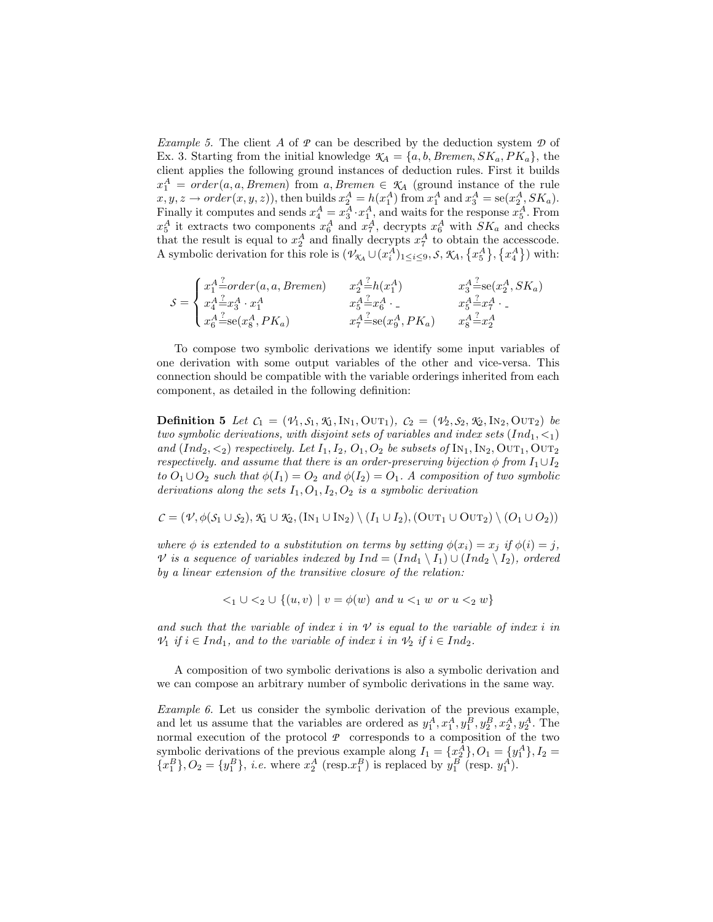Example 5. The client A of *P* can be described by the deduction system *D* of Ex. 3. Starting from the initial knowledge  $\mathcal{K}_A = \{a, b, Bremen, SK_a, PK_a\}$ , the client applies the following ground instances of deduction rules. First it builds  $x_1^A = order(a, a, Bremen)$  from a, Bremen  $\in \mathcal{K}_A$  (ground instance of the rule  $x, y, z \rightarrow order(x, y, z)$ , then builds  $x_2^A = h(x_1^A)$  from  $x_1^A$  and  $x_3^A = se(x_2^A, SK_a)$ . Finally it computes and sends  $x_4^A = x_3^A \cdot x_1^A$ , and waits for the response  $x_5^A$ . From  $x_5^A$  it extracts two components  $x_6^A$  and  $x_7^A$ , decrypts  $x_6^A$  with  $SK_a$  and checks that the result is equal to  $x_2^A$  and finally decrypts  $x_7^A$  to obtain the accesscode. A symbolic derivation for this role is  $(\psi_{\mathcal{K}_A} \cup (x_i^A)_{1 \leq i \leq 9}, \mathcal{S}, \mathcal{K}_A, \{x_5^A\}, \{x_4^A\})$  with:

$$
S = \begin{cases} x_1^A \stackrel{?}{=} order(a, a, Bremen) & x_2^A \stackrel{?}{=}h(x_1^A) & x_3^A \stackrel{?}{=}se(x_2^A, SK_a) \\ x_4^A \stackrel{?}{=} x_3^A \cdot x_1^A & x_5^A \stackrel{?}{=} x_6^A \cdot 1 & x_5^A \stackrel{?}{=} x_7^A \cdot 1 \\ x_6^A \stackrel{?}{=} se(x_8^A, PK_a) & x_7^A \stackrel{?}{=} se(x_9^A, PK_a) & x_8^A \stackrel{?}{=} x_2^A \end{cases}
$$

To compose two symbolic derivations we identify some input variables of one derivation with some output variables of the other and vice-versa. This connection should be compatible with the variable orderings inherited from each component, as detailed in the following definition:

**Definition 5** Let  $C_1 = (\mathcal{V}_1, \mathcal{S}_1, \mathcal{K}_1, \text{IN}_1, \text{OUT}_1), C_2 = (\mathcal{V}_2, \mathcal{S}_2, \mathcal{K}_2, \text{IN}_2, \text{OUT}_2)$  be two symbolic derivations, with disjoint sets of variables and index sets  $(Ind_1, <_1)$ and  $(Ind_2, <_2)$  respectively. Let  $I_1, I_2, O_1, O_2$  be subsets of  $In_1, In_2, OUT_1, OUT_2$ respectively. and assume that there is an order-preserving bijection  $\phi$  from  $I_1 \cup I_2$ to  $O_1 \cup O_2$  such that  $\phi(I_1) = O_2$  and  $\phi(I_2) = O_1$ . A composition of two symbolic derivations along the sets  $I_1, O_1, I_2, O_2$  is a symbolic derivation

$$
\mathcal{C} = (\mathcal{V}, \phi(\mathcal{S}_1 \cup \mathcal{S}_2), \mathcal{K}_1 \cup \mathcal{K}_2, (\text{In}_1 \cup \text{In}_2) \setminus (I_1 \cup I_2), (\text{Out}_1 \cup \text{Out}_2) \setminus (O_1 \cup O_2))
$$

where  $\phi$  is extended to a substitution on terms by setting  $\phi(x_i) = x_i$  if  $\phi(i) = j$ , *V* is a sequence of variables indexed by  $Ind = (Ind_1 \setminus I_1) \cup (Ind_2 \setminus I_2)$ , ordered by a linear extension of the transitive closure of the relation:

$$
\langle 1 \cup \langle 2 \cup \{ (u, v) \mid v = \phi(w) \text{ and } u \langle 1 \mid w \text{ or } u \langle 2 \mid w \rangle \}
$$

and such that the variable of index i in  $\nu$  is equal to the variable of index i in  $\mathcal{V}_1$  if  $i \in Ind_1$ , and to the variable of index i in  $\mathcal{V}_2$  if  $i \in Ind_2$ .

A composition of two symbolic derivations is also a symbolic derivation and we can compose an arbitrary number of symbolic derivations in the same way.

Example 6. Let us consider the symbolic derivation of the previous example, and let us assume that the variables are ordered as  $y_1^A, x_1^A, y_1^B, y_2^B, x_2^A, y_2^A$ . The normal execution of the protocol  $P$  corresponds to a composition of the two symbolic derivations of the previous example along  $I_1 = \{x_2^A\}, O_1 = \{y_1^A\}, I_2 =$  ${x_1^B}$ ,  $O_2 = {y_1^B}$ , *i.e.* where  $x_2^A$  (resp.  $x_1^B$ ) is replaced by  $y_1^B$  (resp.  $y_1^A$ ).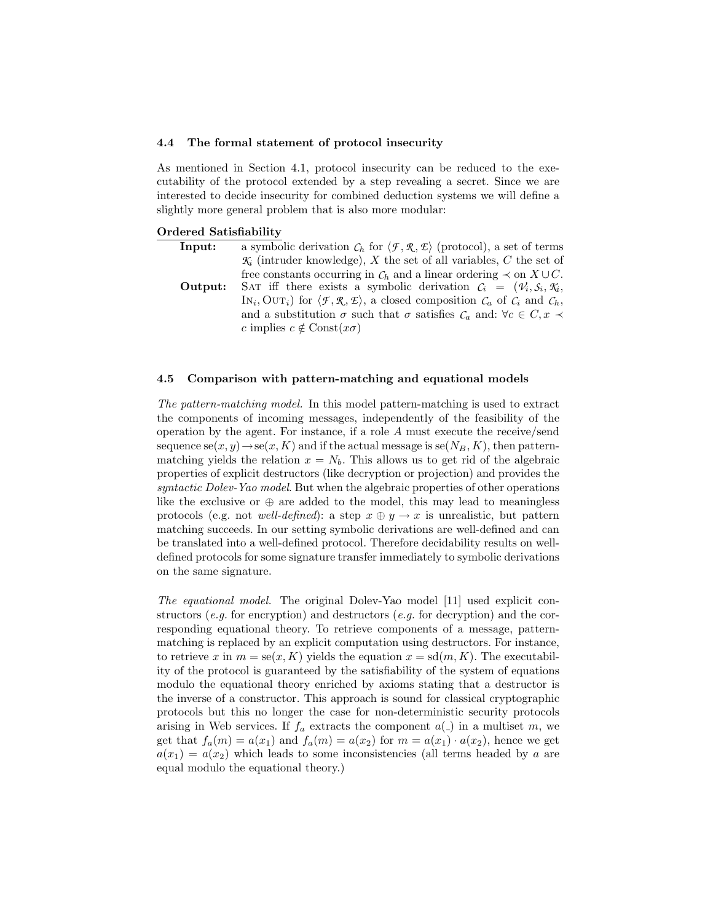#### 4.4 The formal statement of protocol insecurity

As mentioned in Section 4.1, protocol insecurity can be reduced to the executability of the protocol extended by a step revealing a secret. Since we are interested to decide insecurity for combined deduction systems we will define a slightly more general problem that is also more modular:

## Ordered Satisfiability

**Input:** a symbolic derivation  $C_h$  for  $\langle f, \mathcal{R}, \mathcal{L} \rangle$  (protocol), a set of terms  $K_i$  (intruder knowledge),  $X$  the set of all variables,  $C$  the set of free constants occurring in  $C_h$  and a linear ordering  $\prec$  on  $X \cup C$ . **Output:** SAT iff there exists a symbolic derivation  $C_i = (\nu_i, S_i, \mathcal{K}_i, \mathcal{K}_i)$ IN<sub>i</sub>, OUT<sub>i</sub>) for  $\langle f, \mathcal{R}, \mathcal{L} \rangle$ , a closed composition  $\mathcal{C}_a$  of  $\mathcal{C}_i$  and  $\mathcal{C}_h$ , and a substitution  $\sigma$  such that  $\sigma$  satisfies  $C_a$  and:  $\forall c \in C, x \prec$ c implies  $c \notin$  Const $(x\sigma)$ 

### 4.5 Comparison with pattern-matching and equational models

The pattern-matching model. In this model pattern-matching is used to extract the components of incoming messages, independently of the feasibility of the operation by the agent. For instance, if a role A must execute the receive/send sequence  $se(x, y) \rightarrow se(x, K)$  and if the actual message is  $se(N_B, K)$ , then patternmatching yields the relation  $x = N_b$ . This allows us to get rid of the algebraic properties of explicit destructors (like decryption or projection) and provides the syntactic Dolev-Yao model. But when the algebraic properties of other operations like the exclusive or  $\oplus$  are added to the model, this may lead to meaningless protocols (e.g. not well-defined): a step  $x \oplus y \rightarrow x$  is unrealistic, but pattern matching succeeds. In our setting symbolic derivations are well-defined and can be translated into a well-defined protocol. Therefore decidability results on welldefined protocols for some signature transfer immediately to symbolic derivations on the same signature.

The equational model. The original Dolev-Yao model [11] used explicit constructors  $(e.g.$  for encryption) and destructors  $(e.g.$  for decryption) and the corresponding equational theory. To retrieve components of a message, patternmatching is replaced by an explicit computation using destructors. For instance, to retrieve x in  $m = \text{se}(x, K)$  yields the equation  $x = \text{sd}(m, K)$ . The executability of the protocol is guaranteed by the satisfiability of the system of equations modulo the equational theory enriched by axioms stating that a destructor is the inverse of a constructor. This approach is sound for classical cryptographic protocols but this no longer the case for non-deterministic security protocols arising in Web services. If  $f_a$  extracts the component  $a(.)$  in a multiset m, we get that  $f_a(m) = a(x_1)$  and  $f_a(m) = a(x_2)$  for  $m = a(x_1) \cdot a(x_2)$ , hence we get  $a(x_1) = a(x_2)$  which leads to some inconsistencies (all terms headed by a are equal modulo the equational theory.)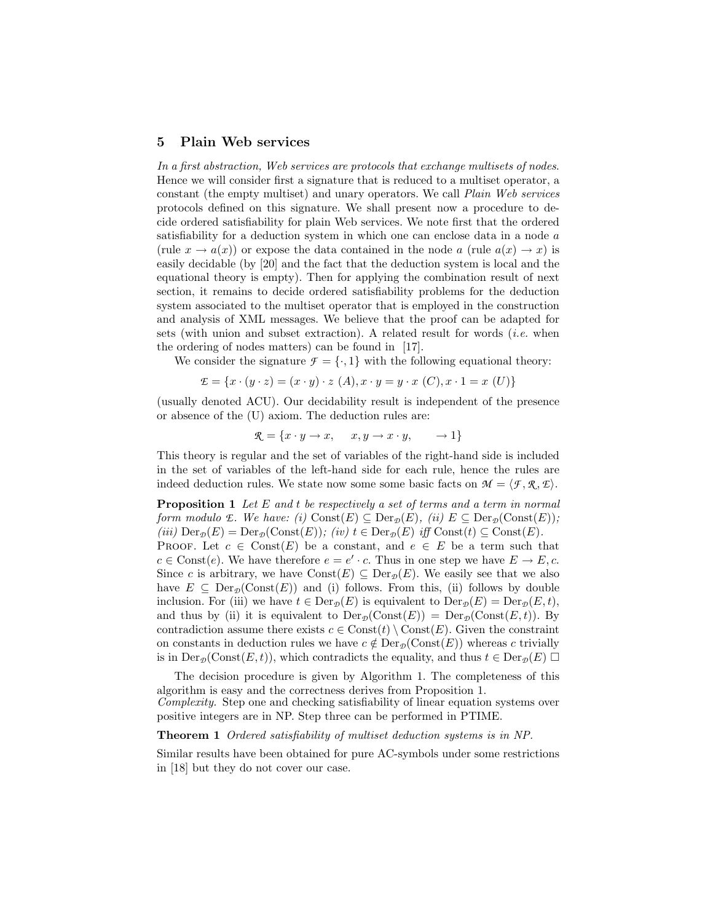## 5 Plain Web services

In a first abstraction, Web services are protocols that exchange multisets of nodes. Hence we will consider first a signature that is reduced to a multiset operator, a constant (the empty multiset) and unary operators. We call Plain Web services protocols defined on this signature. We shall present now a procedure to decide ordered satisfiability for plain Web services. We note first that the ordered satisfiability for a deduction system in which one can enclose data in a node a (rule  $x \to a(x)$ ) or expose the data contained in the node a (rule  $a(x) \to x$ ) is easily decidable (by [20] and the fact that the deduction system is local and the equational theory is empty). Then for applying the combination result of next section, it remains to decide ordered satisfiability problems for the deduction system associated to the multiset operator that is employed in the construction and analysis of XML messages. We believe that the proof can be adapted for sets (with union and subset extraction). A related result for words  $(i.e.$  when the ordering of nodes matters) can be found in [17].

We consider the signature  $\mathcal{F} = \{\cdot, 1\}$  with the following equational theory:

$$
\mathcal{E} = \{x \cdot (y \cdot z) = (x \cdot y) \cdot z \cdot (A), x \cdot y = y \cdot x \cdot (C), x \cdot 1 = x \cdot (U)\}
$$

(usually denoted ACU). Our decidability result is independent of the presence or absence of the (U) axiom. The deduction rules are:

$$
\mathcal{R} = \{x \cdot y \to x, \quad x, y \to x \cdot y, \quad \to 1\}
$$

This theory is regular and the set of variables of the right-hand side is included in the set of variables of the left-hand side for each rule, hence the rules are indeed deduction rules. We state now some some basic facts on  $\mathcal{M} = \langle \mathcal{F}, \mathcal{R}, \mathcal{F} \rangle$ .

**Proposition 1** Let  $E$  and  $t$  be respectively a set of terms and a term in normal form modulo *E*. We have: (i)  $\text{Const}(E) \subseteq \text{Der}_{\mathcal{D}}(E)$ , (ii)  $E \subseteq \text{Der}_{\mathcal{D}}(\text{Const}(E))$ ; (iii)  $\text{Der}_{\mathcal{D}}(E) = \text{Der}_{\mathcal{D}}(\text{Const}(E))$ ; (iv)  $t \in \text{Der}_{\mathcal{D}}(E)$  iff  $\text{Const}(t) \subseteq \text{Const}(E)$ . PROOF. Let  $c \in \text{Const}(E)$  be a constant, and  $e \in E$  be a term such that  $c \in \text{Const}(e)$ . We have therefore  $e = e' \cdot c$ . Thus in one step we have  $E \to E, c$ . Since c is arbitrary, we have  $Const(E) \subseteq Der_{\mathcal{D}}(E)$ . We easily see that we also have  $E \subseteq \text{Der}_{\mathcal{D}}(\text{Const}(E))$  and (i) follows. From this, (ii) follows by double inclusion. For (iii) we have  $t \in \text{Der}_{\mathcal{D}}(E)$  is equivalent to  $\text{Der}_{\mathcal{D}}(E) = \text{Der}_{\mathcal{D}}(E, t)$ , and thus by (ii) it is equivalent to  $Der_{\mathcal{D}}(Const(E)) = Der_{\mathcal{D}}(Const(E,t)).$  By contradiction assume there exists  $c \in \text{Const}(t) \setminus \text{Const}(E)$ . Given the constraint on constants in deduction rules we have  $c \notin \text{Der}_{\mathcal{D}}(\text{Const}(E))$  whereas c trivially is in  $\text{Der}_{\mathcal{D}}(\text{Const}(E,t))$ , which contradicts the equality, and thus  $t \in \text{Der}_{\mathcal{D}}(E)$ 

The decision procedure is given by Algorithm 1. The completeness of this algorithm is easy and the correctness derives from Proposition 1. Complexity. Step one and checking satisfiability of linear equation systems over positive integers are in NP. Step three can be performed in PTIME.

#### Theorem 1 Ordered satisfiability of multiset deduction systems is in NP.

Similar results have been obtained for pure AC-symbols under some restrictions in [18] but they do not cover our case.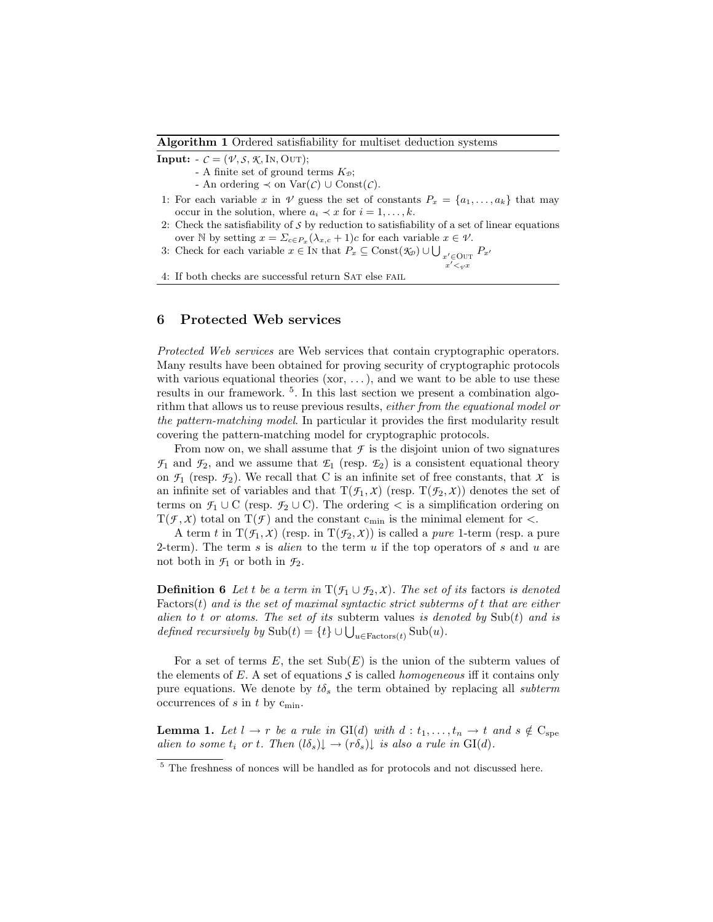#### Algorithm 1 Ordered satisfiability for multiset deduction systems

**Input:**  $\cdot$  *C* = ( $\nu$ , *S*, *K*, IN, OUT);

- A finite set of ground terms  $K_{\mathcal{D}}$ ;
- An ordering  $\prec$  on  $\text{Var}(\mathcal{C})$  ∪  $\text{Const}(\mathcal{C})$ .
- 1: For each variable x in  $\mathcal V$  guess the set of constants  $P_x = \{a_1, \ldots, a_k\}$  that may occur in the solution, where  $a_i \prec x$  for  $i = 1, \ldots, k$ .
- 2: Check the satisfiability of *S* by reduction to satisfiability of a set of linear equations over N by setting  $x = \sum_{c \in P_x} (\lambda_{x,c} + 1)c$  for each variable  $x \in \mathcal{V}$ .
- 3: Check for each variable  $x \in \text{In that } P_x \subseteq \text{Const}(\mathcal{K}_D) \cup \bigcup_{x' \in \text{OUT}} P_{x'}$  $x' <sub>\mathcal{V}} x</sub>$

4: If both checks are successful return SAT else FAIL

# 6 Protected Web services

Protected Web services are Web services that contain cryptographic operators. Many results have been obtained for proving security of cryptographic protocols with various equational theories  $(xor, \ldots)$ , and we want to be able to use these results in our framework. <sup>5</sup>. In this last section we present a combination algorithm that allows us to reuse previous results, either from the equational model or the pattern-matching model. In particular it provides the first modularity result covering the pattern-matching model for cryptographic protocols.

From now on, we shall assume that  $\mathcal F$  is the disjoint union of two signatures  $\mathcal{F}_1$  and  $\mathcal{F}_2$ , and we assume that  $\mathcal{F}_1$  (resp.  $\mathcal{F}_2$ ) is a consistent equational theory on  $\mathcal{F}_1$  (resp.  $\mathcal{F}_2$ ). We recall that C is an infinite set of free constants, that X is an infinite set of variables and that  $T(\mathcal{F}_1, \mathcal{X})$  (resp.  $T(\mathcal{F}_2, \mathcal{X})$ ) denotes the set of terms on  $f_1 \cup C$  (resp.  $f_2 \cup C$ ). The ordering  $\lt$  is a simplification ordering on  $T(\mathcal{F}, \mathcal{X})$  total on  $T(\mathcal{F})$  and the constant c<sub>min</sub> is the minimal element for  $\lt$ .

A term t in  $T(f_1, X)$  (resp. in  $T(f_2, X)$ ) is called a *pure* 1-term (resp. a pure 2-term). The term s is alien to the term u if the top operators of s and u are not both in  $\mathcal{F}_1$  or both in  $\mathcal{F}_2$ .

**Definition 6** Let t be a term in  $T(f_1 \cup f_2, x)$ . The set of its factors is denoted  $Factors(t)$  and is the set of maximal syntactic strict subterms of t that are either alien to t or atoms. The set of its subterm values is denoted by  $\text{Sub}(t)$  and is defined recursively by  $\text{Sub}(t) = \{t\} \cup \bigcup_{u \in \text{Factors}(t)} \text{Sub}(u)$ .

For a set of terms  $E$ , the set  $\text{Sub}(E)$  is the union of the subterm values of the elements of E. A set of equations  $S$  is called *homogeneous* iff it contains only pure equations. We denote by  $t\delta_s$  the term obtained by replacing all subterm occurrences of s in t by  $c_{\min}$ .

**Lemma 1.** Let  $l \to r$  be a rule in GI(d) with  $d : t_1, \ldots, t_n \to t$  and  $s \notin C_{\text{spe}}$ alien to some  $t_i$  or  $t$ . Then  $(l\delta_s) \downarrow \rightarrow (r\delta_s) \downarrow$  is also a rule in  $GI(d)$ .

<sup>5</sup> The freshness of nonces will be handled as for protocols and not discussed here.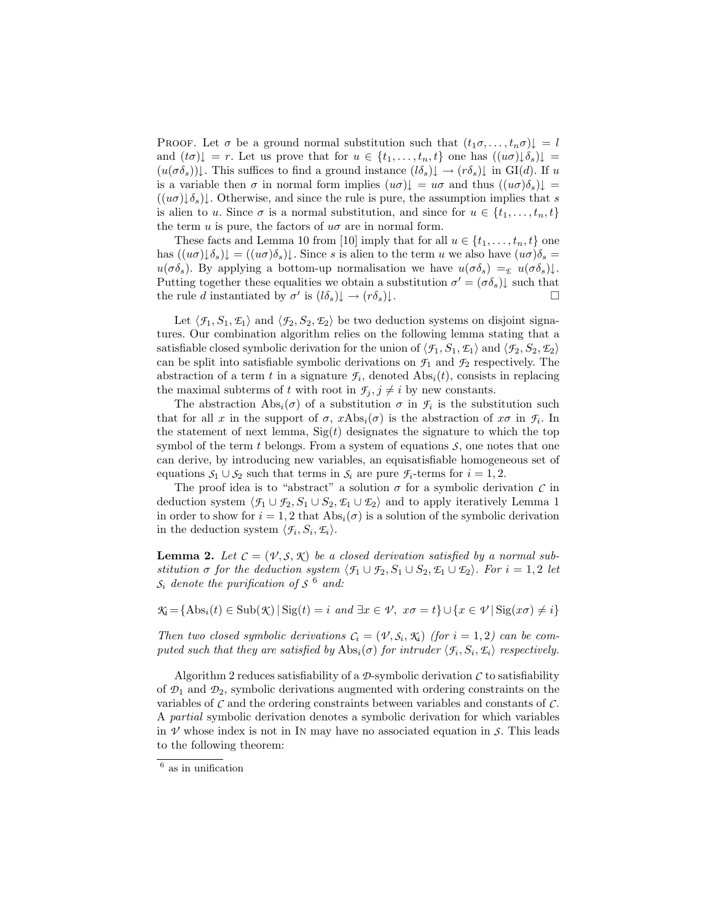**PROOF.** Let  $\sigma$  be a ground normal substitution such that  $(t_1\sigma, \ldots, t_n\sigma)$   $\downarrow = l$ and  $(t\sigma)\downarrow = r$ . Let us prove that for  $u \in \{t_1, \ldots, t_n, t\}$  one has  $((u\sigma)\downarrow \delta_s)\downarrow =$  $(u(\sigma\delta_s))$ . This suffices to find a ground instance  $(l\delta_s)\downarrow \rightarrow (r\delta_s)\downarrow$  in GI(d). If u is a variable then  $\sigma$  in normal form implies  $(u\sigma)\downarrow = u\sigma$  and thus  $((u\sigma)\delta_s)\downarrow =$  $((u\sigma)\downarrow \delta_s)\downarrow$ . Otherwise, and since the rule is pure, the assumption implies that s is alien to u. Since  $\sigma$  is a normal substitution, and since for  $u \in \{t_1, \ldots, t_n, t\}$ the term u is pure, the factors of  $u\sigma$  are in normal form.

These facts and Lemma 10 from [10] imply that for all  $u \in \{t_1, \ldots, t_n, t\}$  one has  $((u\sigma)\downarrow \delta_s)\downarrow = ((u\sigma)\delta_s)\downarrow$ . Since s is alien to the term u we also have  $(u\sigma)\delta_s =$  $u(\sigma \delta_s)$ . By applying a bottom-up normalisation we have  $u(\sigma \delta_s) =_E u(\sigma \delta_s) \downarrow$ . Putting together these equalities we obtain a substitution  $\sigma' = (\sigma \delta_s) \downarrow$  such that the rule d instantiated by  $\sigma'$  is  $(l\delta_s)$   $\downarrow \rightarrow (r\delta_s)$ .

Let  $\langle f_1, S_1, \mathcal{E}_1 \rangle$  and  $\langle f_2, S_2, \mathcal{E}_2 \rangle$  be two deduction systems on disjoint signatures. Our combination algorithm relies on the following lemma stating that a satisfiable closed symbolic derivation for the union of  $\langle f_1, S_1, \mathcal{E}_1 \rangle$  and  $\langle f_2, S_2, \mathcal{E}_2 \rangle$ can be split into satisfiable symbolic derivations on  $\mathcal{F}_1$  and  $\mathcal{F}_2$  respectively. The abstraction of a term t in a signature  $\mathcal{F}_i$ , denoted  $\text{Abs}_i(t)$ , consists in replacing the maximal subterms of t with root in  $\mathcal{F}_j, j \neq i$  by new constants.

The abstraction  $\text{Abs}_i(\sigma)$  of a substitution  $\sigma$  in  $\mathcal{F}_i$  is the substitution such that for all x in the support of  $\sigma$ ,  $x \text{Abs}_i(\sigma)$  is the abstraction of  $x\sigma$  in  $\mathcal{F}_i$ . In the statement of next lemma,  $\text{Sig}(t)$  designates the signature to which the top symbol of the term t belongs. From a system of equations  $S$ , one notes that one can derive, by introducing new variables, an equisatisfiable homogeneous set of equations  $S_1 \cup S_2$  such that terms in  $S_i$  are pure  $\mathcal{F}_i$ -terms for  $i = 1, 2$ .

The proof idea is to "abstract" a solution  $\sigma$  for a symbolic derivation  $\mathcal C$  in deduction system  $\langle f_1 \cup f_2, S_1 \cup S_2, \mathcal{L}_1 \cup \mathcal{L}_2 \rangle$  and to apply iteratively Lemma 1 in order to show for  $i = 1, 2$  that  $\text{Abs}_i(\sigma)$  is a solution of the symbolic derivation in the deduction system  $\langle f_i, S_i, \mathcal{F}_i \rangle$ .

**Lemma 2.** Let  $C = (\mathcal{V}, \mathcal{S}, \mathcal{K})$  be a closed derivation satisfied by a normal substitution  $\sigma$  for the deduction system  $\langle \mathcal{F}_1 \cup \mathcal{F}_2, S_1 \cup S_2, \mathcal{F}_1 \cup \mathcal{F}_2 \rangle$ . For  $i = 1, 2$  let  $S_i$  denote the purification of  $S^6$  and:

 $\mathcal{K}_i = {\text{Abs}_i(t) \in \text{Sub}(\mathcal{K}) \mid \text{Sig}(t) = i \text{ and } \exists x \in \mathcal{V}, \ x\sigma = t} \cup \{x \in \mathcal{V} \mid \text{Sig}(x\sigma) \neq i\}$ 

Then two closed symbolic derivations  $C_i = (\mathcal{V}, S_i, \mathcal{K}_i)$  (for  $i = 1, 2$ ) can be computed such that they are satisfied by  $\text{Abs}_i(\sigma)$  for intruder  $\langle f_i, S_i, \mathcal{F}_i \rangle$  respectively.

Algorithm 2 reduces satisfiability of a  $\mathcal{D}$ -symbolic derivation  $\mathcal{C}$  to satisfiability of  $\mathcal{D}_1$  and  $\mathcal{D}_2$ , symbolic derivations augmented with ordering constraints on the variables of *C* and the ordering constraints between variables and constants of *C*. A partial symbolic derivation denotes a symbolic derivation for which variables in  $\nu$  whose index is not in IN may have no associated equation in  $\mathcal{S}$ . This leads to the following theorem:

 $<sup>6</sup>$  as in unification</sup>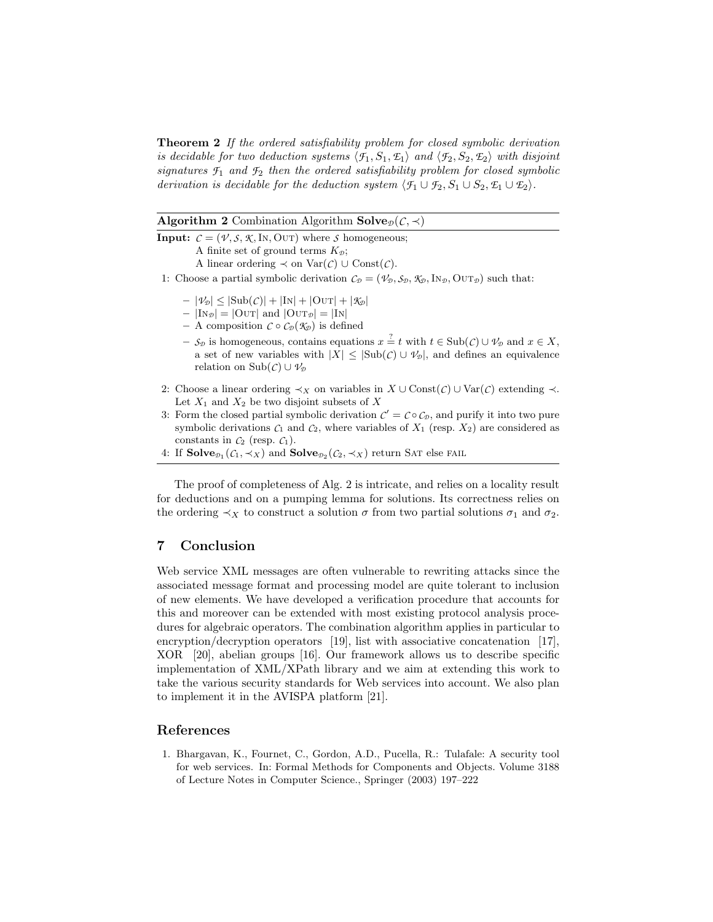**Theorem 2** If the ordered satisfiability problem for closed symbolic derivation is decidable for two deduction systems  $\langle f_1, S_1, \mathcal{F}_1 \rangle$  and  $\langle f_2, S_2, \mathcal{F}_2 \rangle$  with disjoint signatures  $f_1$  and  $f_2$  then the ordered satisfiability problem for closed symbolic derivation is decidable for the deduction system  $\langle \mathcal{F}_1 \cup \mathcal{F}_2, S_1 \cup S_2, \mathcal{F}_1 \cup \mathcal{F}_2 \rangle$ .

|  | <b>Algorithm 2</b> Combination Algorithm <b>Solve</b> <sub><math>\mathcal{D}(\mathcal{C}, \prec)</math></sub> |
|--|---------------------------------------------------------------------------------------------------------------|

**Input:**  $C = (\mathcal{V}, \mathcal{S}, \mathcal{K}, \text{IN}, \text{OUT})$  where *S* homogeneous;

A finite set of ground terms  $K_{\mathcal{D}}$ ;

A linear ordering  $\prec$  on  $\text{Var}(\mathcal{C})$  ∪ Const( $\mathcal{C}$ ).

1: Choose a partial symbolic derivation  $C_{\mathcal{D}} = (\mathcal{V}_{\mathcal{D}}, \mathcal{S}_{\mathcal{D}}, \mathcal{K}_{\mathcal{D}}, \text{Ind}_{\mathcal{D}})$  such that:

- $|\mathcal{V}_D| \leq |\text{Sub}(\mathcal{C})| + |\text{IN}| + |\text{OUT}| + |\mathcal{K}_D|$
- $|I_{N_{\mathcal{D}}}|=$   $|OUT|$  and  $|OUT_{\mathcal{D}}|=$   $|I_{N}|$
- $A$  composition *C C*<sub>*D*</sub>( $\mathcal{K}_D$ ) is defined
- $-$  *S*<sup>*D*</sup> is homogeneous, contains equations  $x = t$  with  $t \in Sub(C) ∪ ∅<sup>p</sup>$  and  $x \in X$ , a set of new variables with  $|X| \leq |\text{Sub}(\mathcal{C}) \cup \mathcal{V}_p|$ , and defines an equivalence relation on  $\text{Sub}(\mathcal{C}) \cup \mathcal{V}_\mathcal{D}$
- 2: Choose a linear ordering  $\prec_X$  on variables in  $X \cup \text{Const}(C) \cup \text{Var}(C)$  extending  $\prec$ . Let  $X_1$  and  $X_2$  be two disjoint subsets of X
- 3: Form the closed partial symbolic derivation  $C' = C \circ C_{\mathcal{D}}$ , and purify it into two pure symbolic derivations  $C_1$  and  $C_2$ , where variables of  $X_1$  (resp.  $X_2$ ) are considered as constants in  $C_2$  (resp.  $C_1$ ).
- 4: If  $\text{Solve}_{\mathcal{D}_1}(\mathcal{C}_1, \prec_X)$  and  $\text{Solve}_{\mathcal{D}_2}(\mathcal{C}_2, \prec_X)$  return SAT else FAIL

The proof of completeness of Alg. 2 is intricate, and relies on a locality result for deductions and on a pumping lemma for solutions. Its correctness relies on the ordering  $\prec_X$  to construct a solution  $\sigma$  from two partial solutions  $\sigma_1$  and  $\sigma_2$ .

# 7 Conclusion

Web service XML messages are often vulnerable to rewriting attacks since the associated message format and processing model are quite tolerant to inclusion of new elements. We have developed a verification procedure that accounts for this and moreover can be extended with most existing protocol analysis procedures for algebraic operators. The combination algorithm applies in particular to encryption/decryption operators [19], list with associative concatenation [17], XOR [20], abelian groups [16]. Our framework allows us to describe specific implementation of XML/XPath library and we aim at extending this work to take the various security standards for Web services into account. We also plan to implement it in the AVISPA platform [21].

## References

1. Bhargavan, K., Fournet, C., Gordon, A.D., Pucella, R.: Tulafale: A security tool for web services. In: Formal Methods for Components and Objects. Volume 3188 of Lecture Notes in Computer Science., Springer (2003) 197–222